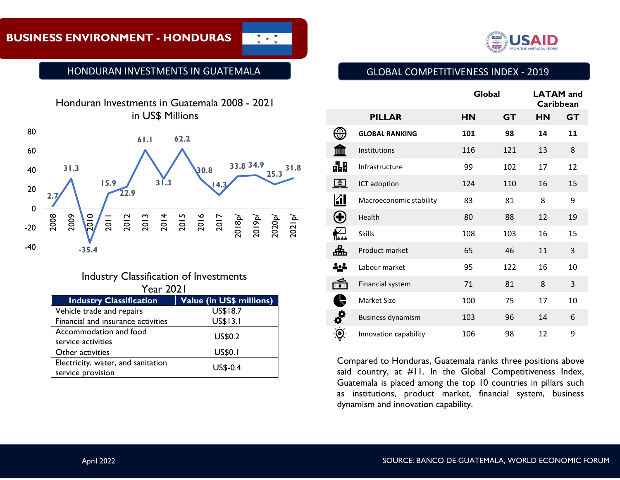# **BUSINESS ENVIRONMENT - HONDURAS**







Industry Classification of Investments Year 2021

| <b>Industry Classification</b>     | <b>Value (in US\$ millions)</b> |  |  |
|------------------------------------|---------------------------------|--|--|
| Vehicle trade and repairs          | US\$18.7                        |  |  |
| Financial and insurance activities | <b>US\$13.1</b>                 |  |  |
| Accommodation and food             | <b>US\$0.2</b>                  |  |  |
| service activities                 |                                 |  |  |
| Other activities                   | <b>US\$0.1</b>                  |  |  |
| Electricity, water, and sanitation | <b>US\$-0.4</b>                 |  |  |
| service provision                  |                                 |  |  |



# GLOBAL COMPETITIVENESS INDEX - 2019

|                     |                          | Global    |           | <b>LATAM</b> and<br>Caribbean |           |
|---------------------|--------------------------|-----------|-----------|-------------------------------|-----------|
|                     | <b>PILLAR</b>            | <b>HN</b> | <b>GT</b> | <b>HN</b>                     | <b>GT</b> |
|                     | <b>GLOBAL RANKING</b>    | 101       | 98        | 14                            | 11        |
|                     | Institutions             | 116       | 121       | 13                            | 8         |
| 畾                   | Infrastructure           | 99        | 102       | 17                            | 12        |
| $\bigoplus$         | ICT adoption             | 124       | 110       | 16                            | 15        |
| 团                   | Macroeconomic stability  | 83        | 81        | 8                             | 9         |
| E                   | Health                   | 80        | 88        | 12                            | 19        |
| ∱⊯                  | <b>Skills</b>            | 108       | 103       | 16                            | 15        |
| 盀                   | Product market           | 65        | 46        | 11                            | 3         |
| 소스                  | Labour market            | 95        | 122       | 16                            | 10        |
| ٦                   | Financial system         | 71        | 81        | 8                             | 3         |
|                     | Market Size              | 100       | 75        | 17                            | 10        |
| <b>OC</b>           | <b>Business dynamism</b> | 103       | 96        | 14                            | 6         |
| $\ddot{\mathbf{e}}$ | Innovation capability    | 106       | 98        | 12                            | 9         |

**RANKING GLOBAL 83 98 12 11** said country, at #11. In the Global Competitiveness Index, Guatemala is placed among the top 10 countries in pillars such as institutions, product market, financial system, business Compared to Honduras, Guatemala ranks three positions above dynamism and innovation capability.

Mercado de bienes 120 46 18 3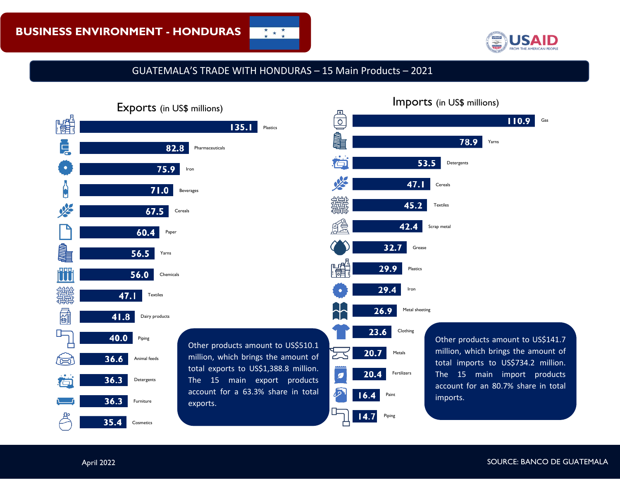

GUATEMALA'S TRADE WITH HONDURAS – 15 Main Products – 2021

 $\frac{\star}{\star}$  \* \*





April 2022 SOURCE: BANCO DE GUATEMALA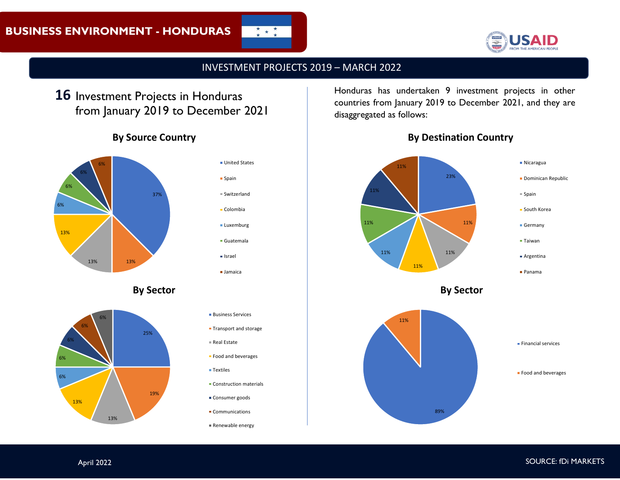

# INVESTMENT PROJECTS 2019 – MARCH 2022

 $\frac{\star}{\star}$   $\star$   $\frac{\star}{\star}$ 

# 16 Investment Projects in Honduras from January 2019 to December 2021

# **By Source Country**



**By Sector**





- **Business Services**
- **Transport and storage**
- Real Estate
- **Food and beverages**
- **Textiles**
- **Construction materials**
- **Consumer goods**
- Communications
- Renewable energy

Honduras has undertaken 9 investment projects in other countries from January 2019 to December 2021, and they are disaggregated as follows:



## **By Destination Country**

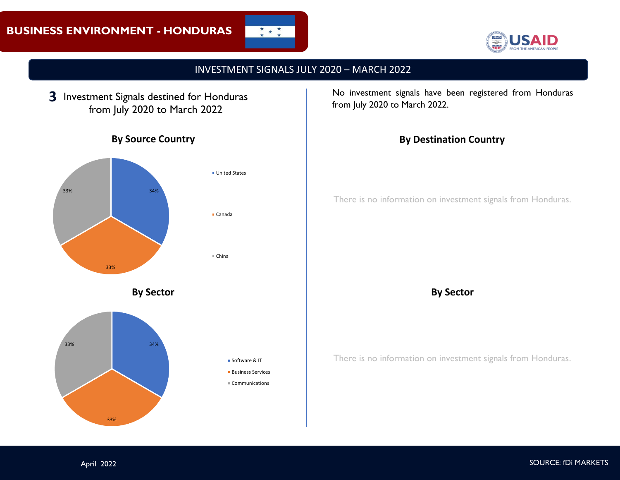



# INVESTMENT SIGNALS JULY 2020 – MARCH 2022

**3** Investment Signals destined for Honduras from July 2020 to March 2022



**By Source Country**

Canada

**United States** 

China

Software & IT **Business Services** Communications

**By Sector**



33%

No investment signals have been registered from Honduras from July 2020 to March 2022.

# **By Destination Country**

There is no information on investment signals from Honduras.

#### **By Sector**

There is no information on investment signals from Honduras.